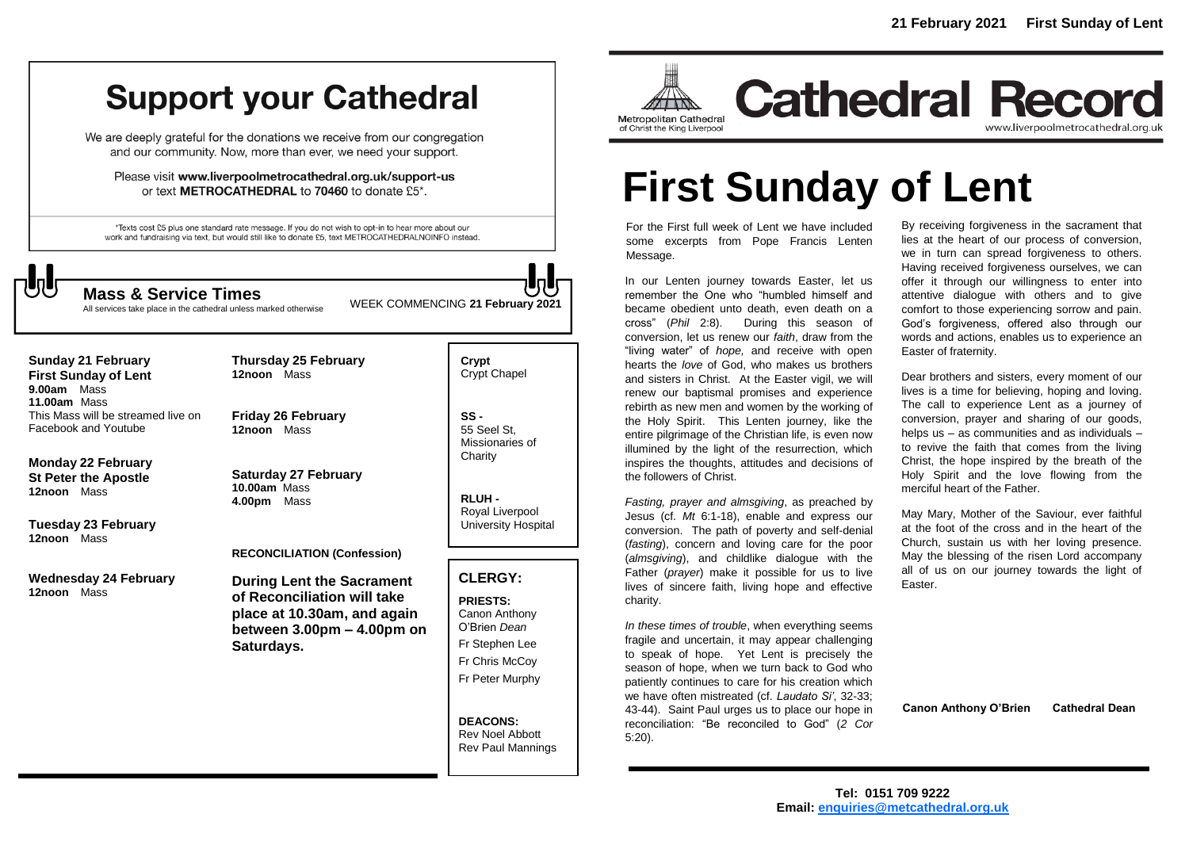# **Support your Cathedral**

We are deeply grateful for the donations we receive from our congregation and our community. Now, more than ever, we need your support.

Please visit www.liverpoolmetrocathedral.org.uk/support-us or text METROCATHEDRAL to 70460 to donate £5\*.

\*Texts cost £5 plus one standard rate message. If you do not wish to opt-in to hear more about our work and fundraising via text, but would still like to donate £5, text METROCATHEDRALNOINFO instead.

All services take place in the cathedral unless marked otherwise

WEEK COMMENCING **21 February 2021 Mass & Service Times**

# **Sunday 21 February First Sunday of Lent 9.00am** Mass **11.00am** Mass This Mass will be streamed live on

Facebook and Youtube

**Monday 22 February St Peter the Apostle 12noon** Mass

**Tuesday 23 February 12noon** Mass

**Wednesday 24 February 12noon** Mass

**Friday 26 February 12noon** Mass

**Thursday 25 February**

**12noon** Mass

**Saturday 27 February 10.00am** Mass **4.00pm** Mass

# **RECONCILIATION (Confession)**

**During Lent the Sacrament of Reconciliation will take place at 10.30am, and again between 3.00pm – 4.00pm on Saturdays.**

**Crypt**  Crypt Chapel

**SS -** 55 Seel St, Missionaries of **Charity** 

**RLUH -** Royal Liverpool University Hospital

# **CLERGY:**

**PRIESTS:** Canon Anthony O'Brien *Dean* Fr Stephen Lee Fr Chris McCoy Fr Peter Murphy

**DEACONS:** Rev Noel Abbott Rev Paul Mannings



**Cathedral Record** www.liverpoolmetrocathedral.org.uk

# **First Sunday of Lent**

For the First full week of Lent we have included some excerpts from Pope Francis Lenten Message.

In our Lenten journey towards Easter, let us remember the One who "humbled himself and became obedient unto death, even death on a cross" (*Phil* 2:8). During this season of conversion, let us renew our *faith*, draw from the "living water" of *hope,* and receive with open hearts the *love* of God, who makes us brothers and sisters in Christ. At the Easter vigil, we will renew our baptismal promises and experience rebirth as new men and women by the working of the Holy Spirit. This Lenten journey, like the entire pilgrimage of the Christian life, is even now illumined by the light of the resurrection, which inspires the thoughts, attitudes and decisions of the followers of Christ.

*Fasting, prayer and almsgiving*, as preached by Jesus (cf. *Mt* 6:1-18), enable and express our conversion. The path of poverty and self-denial (*fasting*), concern and loving care for the poor (*almsgiving*), and childlike dialogue with the Father (*prayer*) make it possible for us to live lives of sincere faith, living hope and effective charity.

*In these times of trouble*, when everything seems fragile and uncertain, it may appear challenging to speak of hope. Yet Lent is precisely the season of hope, when we turn back to God who patiently continues to care for his creation which we have often mistreated (cf. *Laudato Si'*, 32-33; 43-44). Saint Paul urges us to place our hope in reconciliation: "Be reconciled to God" (*2 Cor* 5:20).

By receiving forgiveness in the sacrament that lies at the heart of our process of conversion, we in turn can spread forgiveness to others. Having received forgiveness ourselves, we can offer it through our willingness to enter into attentive dialogue with others and to give comfort to those experiencing sorrow and pain. God's forgiveness, offered also through our words and actions, enables us to experience an Easter of fraternity.

Dear brothers and sisters, every moment of our lives is a time for believing, hoping and loving. The call to experience Lent as a journey of conversion, prayer and sharing of our goods, helps us – as communities and as individuals – to revive the faith that comes from the living Christ, the hope inspired by the breath of the Holy Spirit and the love flowing from the merciful heart of the Father.

May Mary, Mother of the Saviour, ever faithful at the foot of the cross and in the heart of the Church, sustain us with her loving presence. May the blessing of the risen Lord accompany all of us on our journey towards the light of Easter.

**Canon Anthony O'Brien Cathedral Dean**